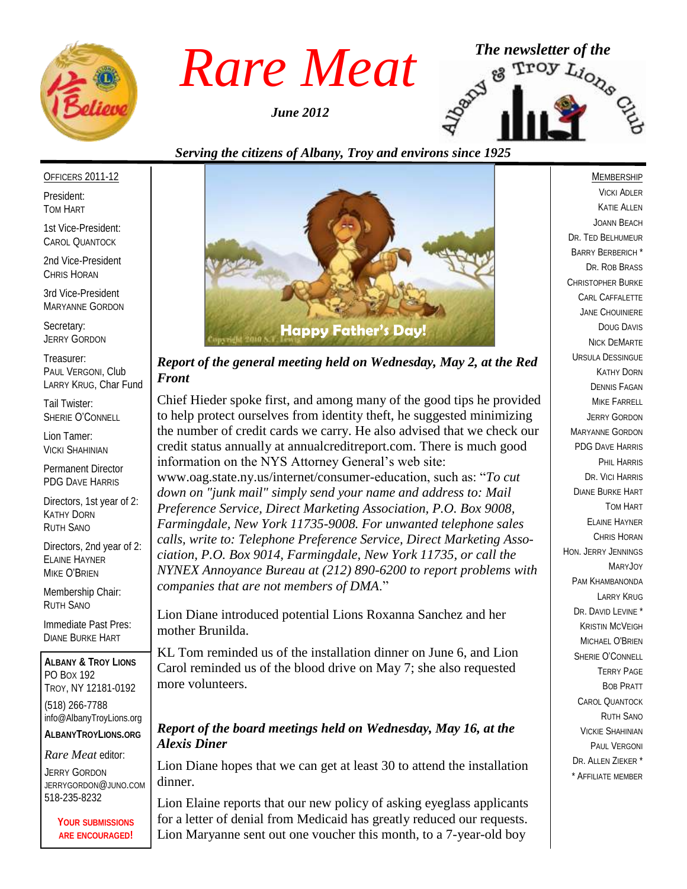

*June 2012*



#### *Serving the citizens of Albany, Troy and environs since 1925*

#### OFFICERS 2011-12

President: TOM HART

1st Vice-President: CAROL QUANTOCK

2nd Vice-President CHRIS HORAN

3rd Vice-President MARYANNE GORDON

Secretary: JERRY GORDON

Treasurer: PAUL VERGONI, Club LARRY KRUG, Char Fund

Tail Twister: SHERIE O'CONNELL

Lion Tamer: VICKI SHAHINIAN

Permanent Director PDG DAVE HARRIS

Directors, 1st year of 2: KATHY DORN RUTH SANO

Directors, 2nd year of 2: ELAINE HAYNER MIKE O'BRIEN

Membership Chair: RUTH SANO

Immediate Past Pres: DIANE BURKE HART

**ALBANY & TROY LIONS** PO BOX 192 TROY, NY 12181-0192 (518) 266-7788 info@AlbanyTroyLions.org **ALBANYTROYLIONS.ORG**

*Rare Meat* editor:

JERRY GORDON JERRYGORDON@JUNO.COM 518-235-8232

> **YOUR SUBMISSIONS ARE ENCOURAGED!**



*Report of the general meeting held on Wednesday, May 2, at the Red Front*

Chief Hieder spoke first, and among many of the good tips he provided to help protect ourselves from identity theft, he suggested minimizing the number of credit cards we carry. He also advised that we check our credit status annually at annualcreditreport.com. There is much good information on the NYS Attorney General's web site: www.oag.state.ny.us/internet/consumer-education, such as: "*To cut down on "junk mail" simply send your name and address to: Mail Preference Service, Direct Marketing Association, P.O. Box 9008,* 

*Farmingdale, New York 11735-9008. For unwanted telephone sales calls, write to: Telephone Preference Service, Direct Marketing Association, P.O. Box 9014, Farmingdale, New York 11735, or call the NYNEX Annoyance Bureau at (212) 890-6200 to report problems with companies that are not members of DMA*."

Lion Diane introduced potential Lions Roxanna Sanchez and her mother Brunilda.

KL Tom reminded us of the installation dinner on June 6, and Lion Carol reminded us of the blood drive on May 7; she also requested more volunteers.

#### *Report of the board meetings held on Wednesday, May 16, at the Alexis Diner*

Lion Diane hopes that we can get at least 30 to attend the installation dinner.

Lion Elaine reports that our new policy of asking eyeglass applicants for a letter of denial from Medicaid has greatly reduced our requests. Lion Maryanne sent out one voucher this month, to a 7-year-old boy

#### **MEMBERSHIP**

VICKI ADLER KATIE ALLEN JOANN BEACH DR. TED BELHUMEUR BARRY BERBERICH \* DR. ROB BRASS CHRISTOPHER BURKE CARL CAFFALETTE JANE CHOUINIERE DOUG DAVIS NICK DEMARTE URSULA DESSINGUE KATHY DORN DENNIS FAGAN MIKE FARRELL JERRY GORDON MARYANNE GORDON PDG DAVE HARRIS PHIL HARRIS DR. VICI HARRIS DIANE BURKE HART TOM HART ELAINE HAYNER CHRIS HORAN HON. JERRY JENNINGS MARYJOY PAM KHAMBANONDA LARRY KRUG DR. DAVID LEVINE \* KRISTIN MCVEIGH MICHAEL O'BRIEN SHERIE O'CONNELL TERRY PAGE BOB PRATT CAROL QUANTOCK RUTH SANO VICKIE SHAHINIAN PAUL VERGONI DR. ALLEN ZIEKER \* \* AFFILIATE MEMBER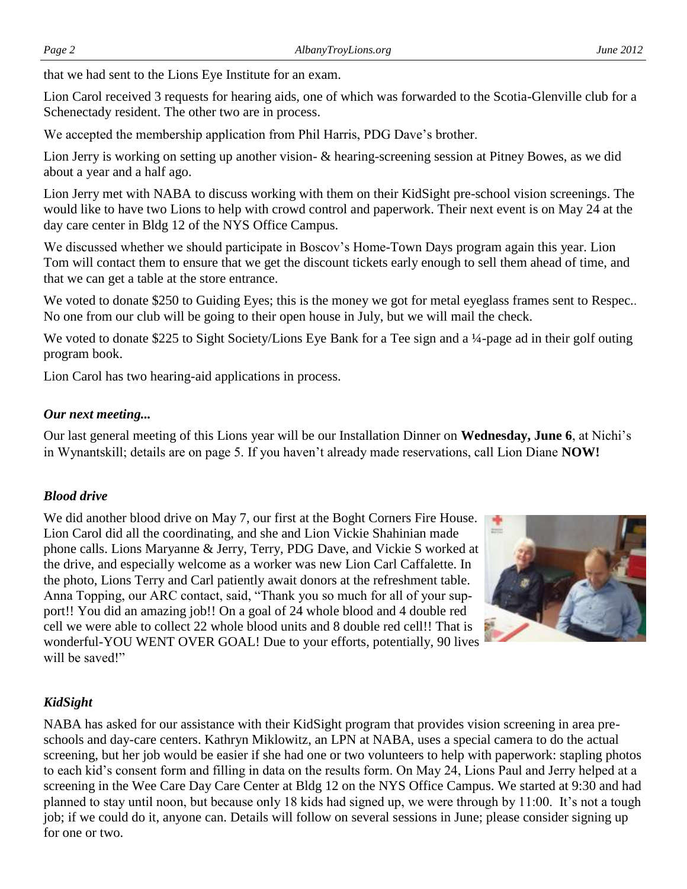that we had sent to the Lions Eye Institute for an exam.

Lion Carol received 3 requests for hearing aids, one of which was forwarded to the Scotia-Glenville club for a Schenectady resident. The other two are in process.

We accepted the membership application from Phil Harris, PDG Dave's brother.

Lion Jerry is working on setting up another vision- & hearing-screening session at Pitney Bowes, as we did about a year and a half ago.

Lion Jerry met with NABA to discuss working with them on their KidSight pre-school vision screenings. The would like to have two Lions to help with crowd control and paperwork. Their next event is on May 24 at the day care center in Bldg 12 of the NYS Office Campus.

We discussed whether we should participate in Boscov's Home-Town Days program again this year. Lion Tom will contact them to ensure that we get the discount tickets early enough to sell them ahead of time, and that we can get a table at the store entrance.

We voted to donate \$250 to Guiding Eyes; this is the money we got for metal eyeglass frames sent to Respec.. No one from our club will be going to their open house in July, but we will mail the check.

We voted to donate \$225 to Sight Society/Lions Eye Bank for a Tee sign and a ¼-page ad in their golf outing program book.

Lion Carol has two hearing-aid applications in process.

## *Our next meeting...*

Our last general meeting of this Lions year will be our Installation Dinner on **Wednesday, June 6**, at Nichi's in Wynantskill; details are on page 5. If you haven't already made reservations, call Lion Diane **NOW!**

## *Blood drive*

We did another blood drive on May 7, our first at the Boght Corners Fire House. Lion Carol did all the coordinating, and she and Lion Vickie Shahinian made phone calls. Lions Maryanne & Jerry, Terry, PDG Dave, and Vickie S worked at the drive, and especially welcome as a worker was new Lion Carl Caffalette. In the photo, Lions Terry and Carl patiently await donors at the refreshment table. Anna Topping, our ARC contact, said, "Thank you so much for all of your support!! You did an amazing job!! On a goal of 24 whole blood and 4 double red cell we were able to collect 22 whole blood units and 8 double red cell!! That is wonderful-YOU WENT OVER GOAL! Due to your efforts, potentially, 90 lives will be saved!"



## *KidSight*

NABA has asked for our assistance with their KidSight program that provides vision screening in area preschools and day-care centers. Kathryn Miklowitz, an LPN at NABA, uses a special camera to do the actual screening, but her job would be easier if she had one or two volunteers to help with paperwork: stapling photos to each kid's consent form and filling in data on the results form. On May 24, Lions Paul and Jerry helped at a screening in the Wee Care Day Care Center at Bldg 12 on the NYS Office Campus. We started at 9:30 and had planned to stay until noon, but because only 18 kids had signed up, we were through by 11:00. It's not a tough job; if we could do it, anyone can. Details will follow on several sessions in June; please consider signing up for one or two.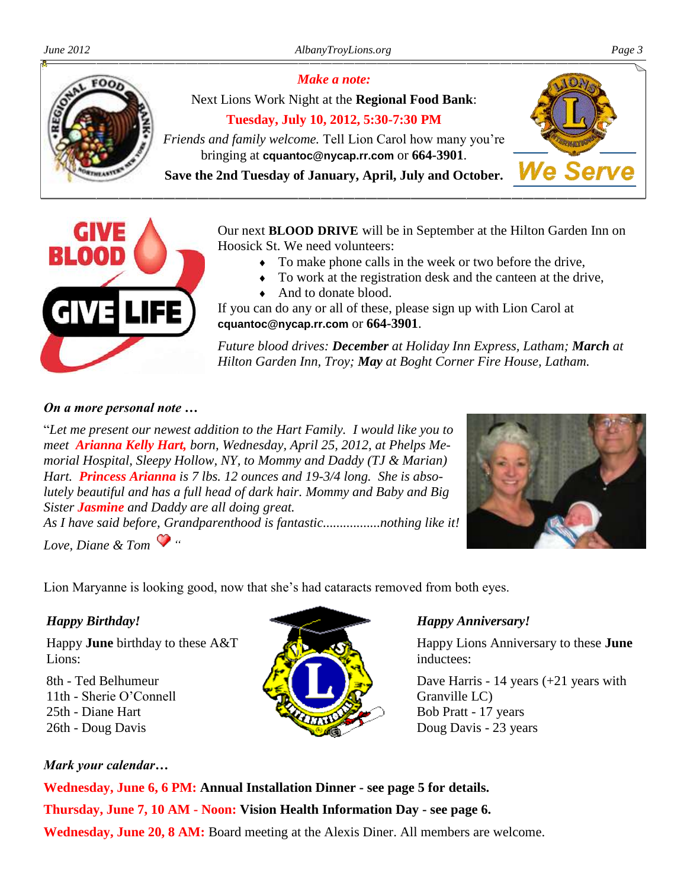

Next Lions Work Night at the **Regional Food Bank**: **Tuesday, July 10, 2012, 5:30-7:30 PM** *Friends and family welcome.* Tell Lion Carol how many you're

*Make a note:*

bringing at **cquantoc@nycap.rr.com** or **664-3901**.

**Save the 2nd Tuesday of January, April, July and October.**



Our next **BLOOD DRIVE** will be in September at the Hilton Garden Inn on Hoosick St. We need volunteers:

- To make phone calls in the week or two before the drive,
- To work at the registration desk and the canteen at the drive,
- And to donate blood.

If you can do any or all of these, please sign up with Lion Carol at **cquantoc@nycap.rr.com** or **664-3901**.

*Future blood drives: December at Holiday Inn Express, Latham; March at Hilton Garden Inn, Troy; May at Boght Corner Fire House, Latham.* 

#### *On a more personal note …*

"*Let me present our newest addition to the Hart Family. I would like you to meet Arianna Kelly Hart, born, Wednesday, April 25, 2012, at Phelps Memorial Hospital, Sleepy Hollow, NY, to Mommy and Daddy (TJ & Marian) Hart. Princess Arianna is 7 lbs. 12 ounces and 19-3/4 long. She is absolutely beautiful and has a full head of dark hair. Mommy and Baby and Big Sister Jasmine and Daddy are all doing great.*

*As I have said before, Grandparenthood is fantastic.................nothing like it! Love, Diane & Tom "*

Lion Maryanne is looking good, now that she's had cataracts removed from both eyes.



## *Happy Birthday!*

Happy **June** birthday to these A&T Lions:

8th - Ted Belhumeur 11th - Sherie O'Connell 25th - Diane Hart 26th - Doug Davis



## *Happy Anniversary!*

Happy Lions Anniversary to these **June**  inductees:

Dave Harris - 14 years (+21 years with Granville LC) Bob Pratt - 17 years Doug Davis - 23 years

## *Mark your calendar…*

**Wednesday, June 6, 6 PM: Annual Installation Dinner - see page 5 for details. Thursday, June 7, 10 AM - Noon: Vision Health Information Day - see page 6. Wednesday, June 20, 8 AM:** Board meeting at the Alexis Diner. All members are welcome.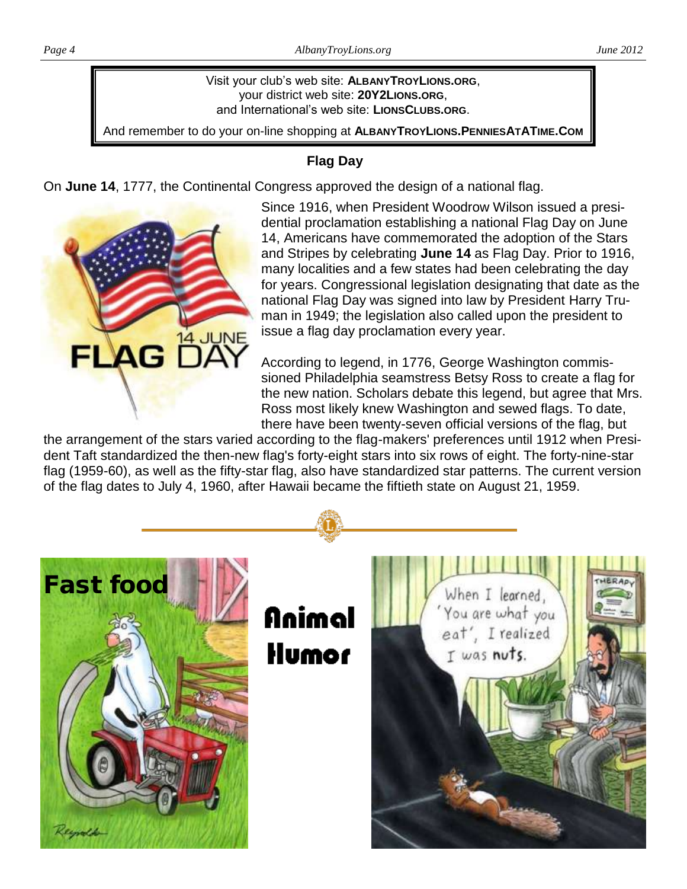Visit your club's web site: **ALBANYTROYLIONS.ORG**, your district web site: **20Y2LIONS.ORG**, and International's web site: **LIONSCLUBS.ORG**.

And remember to do your on-line shopping at **ALBANYTROYLIONS.PENNIESATATIME.COM**

## **Flag Day**

On **June 14**, 1777, the Continental Congress approved the design of a national flag.



Since 1916, when President Woodrow Wilson issued a presidential proclamation establishing a national Flag Day on June 14, Americans have commemorated the adoption of the Stars and Stripes by celebrating **June 14** as Flag Day. Prior to 1916, many localities and a few states had been celebrating the day for years. Congressional legislation designating that date as the national Flag Day was signed into law by President Harry Truman in 1949; the legislation also called upon the president to issue a flag day proclamation every year.

According to legend, in 1776, George Washington commissioned Philadelphia seamstress Betsy Ross to create a flag for the new nation. Scholars debate this legend, but agree that Mrs. Ross most likely knew Washington and sewed flags. To date, there have been twenty-seven official versions of the flag, but

the arrangement of the stars varied according to the flag-makers' preferences until 1912 when President Taft standardized the then-new flag's forty-eight stars into six rows of eight. The forty-nine-star flag (1959-60), as well as the fifty-star flag, also have standardized star patterns. The current version of the flag dates to July 4, 1960, after Hawaii became the fiftieth state on August 21, 1959.

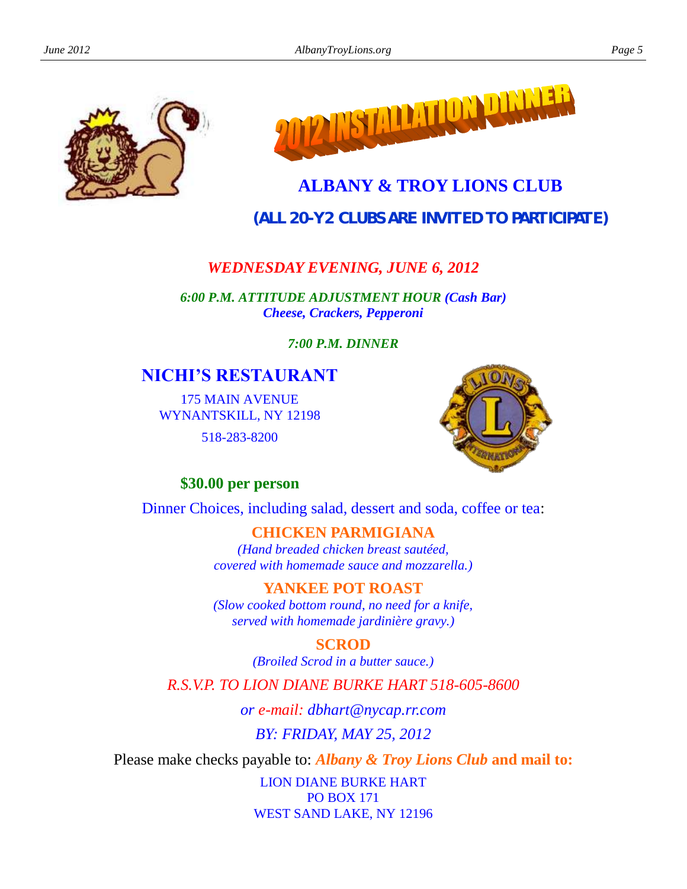



## **ALBANY & TROY LIONS CLUB**

**(***ALL 20-Y2 CLUBS ARE INVITED TO PARTICIPATE***)**

## *WEDNESDAY EVENING, JUNE 6, 2012*

*6:00 P.M. ATTITUDE ADJUSTMENT HOUR (Cash Bar) Cheese, Crackers, Pepperoni*

*7:00 P.M. DINNER*

## **NICHI'S RESTAURANT**

175 MAIN AVENUE WYNANTSKILL, NY 12198 518-283-8200



## **\$30.00 per person**

Dinner Choices, including salad, dessert and soda, coffee or tea:

## **CHICKEN PARMIGIANA**

*(Hand breaded chicken breast sautéed, covered with homemade sauce and mozzarella.)*

## **YANKEE POT ROAST**

*(Slow cooked bottom round, no need for a knife, served with homemade jardinière gravy.)*

## **SCROD**

*(Broiled Scrod in a butter sauce.)*

*R.S.V.P. TO LION DIANE BURKE HART 518-605-8600*

*or e-mail: dbhart@nycap.rr.com*

*BY: FRIDAY, MAY 25, 2012*

Please make checks payable to: *Albany & Troy Lions Club* **and mail to:**

LION DIANE BURKE HART PO BOX 171 WEST SAND LAKE, NY 12196